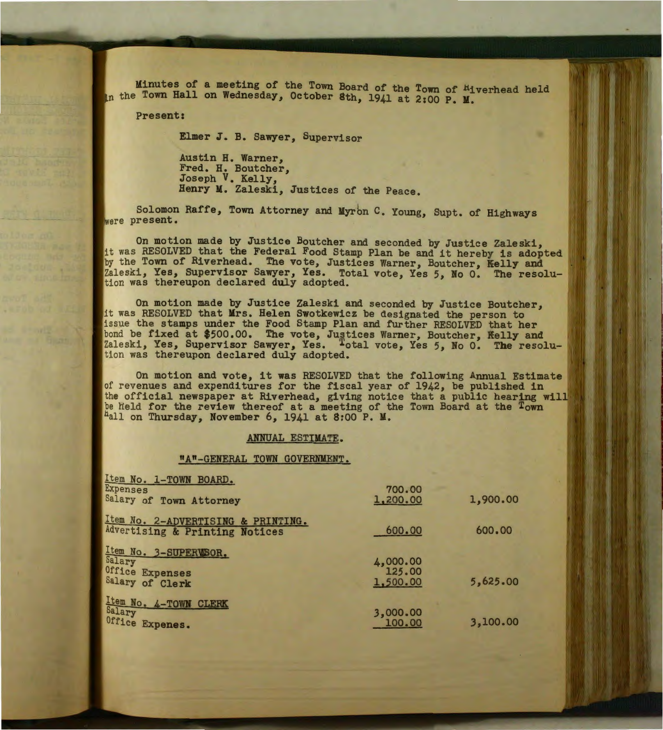Minutes of a meeting of the Town Board of the Town of Hiverhead held In the Town Hall on Wednesday, October 8th, 1941 at 2:00 P. M.

Present:

Elmer J. B. Sawyer, Supervisor

Austin H. Warner, Fred. H. Boutcher, Joseph V. Kelly, Henry M. Zaleski, Justices of the Peace.

Solomon Raffe, Town Attorney and Myrbn c. Young, Supt. of Highways were present.

On motion made by Justice Boutcher and seconded by Justice Zaleski, it was RESOLVED that the Federal Food Stamp Plan be and it hereby is adopted by the Town of Riverhead. The vote, Justices Warner, Boutcher, Kelly and Zaleski, Yes, Supervisor Sawyer, Yes. Total vote, Yes *5,* No 0. The resolution was thereupon declared duly adopted.

On motion made by Justice Zaleski and seconded by Justice Boutcher, it was RESOLVED that Mrs. Helen Swotkewicz be designated the person to issue the stamps under the Food Stamp Plan and further RESOLVED that her bond be fixed at \$500.00. The vote, Justices Warner, Boutcher, Kelly and Zaleski, Yes, Supervisor Sawyer, Yes. <sup>T</sup>otal vote, Yes 5, No 0. The resolution was thereupon declared duly adopted.

On motion and vote, it was RESOLVED that the following Annual Estimate of revenues and expenditures for the fiscal year of 1942, be published in the official newspaper at Riverhead, giving notice that a public hearing will be held for the review thereof at a meeting of the Town Board at the Town  $Fall$  on Thursday, November 6, 1941 at 8:00 P.M.

## ANNUAL ESTIMATE.

## "A"-GENERAL TOWN GOVERNMENT.

| Item No. 1-TOWN BOARD.<br><b>Expenses</b>                             | 700.00                         |          |
|-----------------------------------------------------------------------|--------------------------------|----------|
| Salary of Town Attorney                                               | 1,200.00                       | 1,900.00 |
| Item No. 2-ADVERTISING & PRINTING.<br>Advertising & Printing Notices  | 600.00                         | 600.00   |
| Item No. 3-SUPERWSOR.<br>Salary<br>Office Expenses<br>Salary of Clerk | 4,000.00<br>125.00<br>1,500.00 | 5,625.00 |
| Item No. 4-TOWN CLERK<br>Salary<br>Office Expenes.                    | 3,000.00<br>100.00             | 3,100.00 |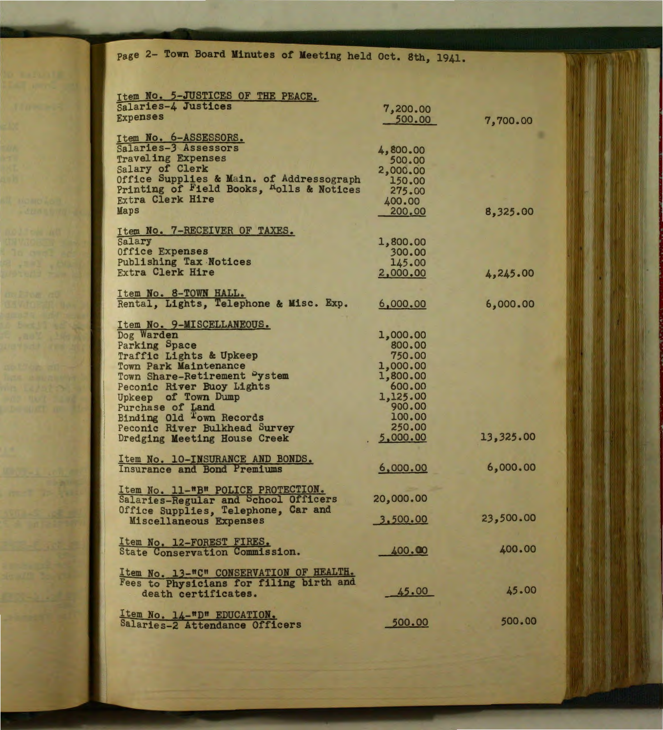page 2- Town Board Minutes of Meeting held Oct. 8th, 1941.

| Item No. 5-JUSTICES OF THE PEACE.                                                  |                    |           |
|------------------------------------------------------------------------------------|--------------------|-----------|
| Salaries-4 Justices                                                                | 7,200.00           |           |
| <b>Expenses</b>                                                                    | 500.00             | 7,700.00  |
|                                                                                    |                    |           |
| Item No. 6-ASSESSORS.<br>Salaries-3 Assessors                                      |                    |           |
| <b>Traveling Expenses</b>                                                          | 4,800.00           |           |
| Salary of Clerk                                                                    | 500.00             |           |
| Office Supplies & Main. of Addressograph                                           | 2,000.00<br>150.00 |           |
| Printing of Field Books, <sup>R</sup> olls & Notices                               | 275.00             |           |
| <b>Extra Clerk Hire</b>                                                            | 400.00             |           |
| Maps                                                                               | 200.00             | 8,325.00  |
|                                                                                    |                    |           |
| Item No. 7-RECEIVER OF TAXES.                                                      |                    |           |
| Salary                                                                             | 1,800.00           |           |
| Office Expenses                                                                    | 300.00             |           |
| Publishing Tax Notices                                                             | 145.00             |           |
| <b>Extra Clerk Hire</b>                                                            | 2,000.00           | 4,245.00  |
|                                                                                    |                    |           |
| Item No. 8-TOWN HALL.                                                              |                    |           |
| Rental, Lights, Telephone & Misc. Exp.                                             | 6,000.00           | 6,000.00  |
|                                                                                    |                    |           |
| Item No. 9-MISCELLANEOUS.                                                          |                    |           |
| Dog Warden                                                                         | 1,000.00           |           |
| Parking Space                                                                      | 800.00             |           |
| Traffic Lights & Upkeep                                                            | 750.00             |           |
| <b>Town Park Maintenance</b>                                                       | 1,000.00           |           |
| Town Share-Retirement Pystem                                                       | 1,800.00           |           |
| Peconic River Buoy Lights                                                          | 600.00             |           |
| Upkeep of Town Dump                                                                | 1,125.00<br>900.00 |           |
| Purchase of Land                                                                   | 100.00             |           |
| Binding Old Town Records<br>Peconic River Bulkhead Survey                          | 250.00             |           |
| Dredging Meeting House Creek                                                       | 5,000.00           | 13,325.00 |
|                                                                                    |                    |           |
| Item No. 10-INSURANCE AND BONDS.                                                   |                    |           |
| Insurance and Bond Premiums                                                        | 6,000.00           | 6,000.00  |
|                                                                                    |                    |           |
|                                                                                    |                    |           |
| Item No. 11-"B" POLICE PROTECTION.<br>Salaries-Regular and School Officers         | 20,000.00          |           |
| Office Supplies, Telephone, Car and                                                |                    |           |
| Miscellaneous Expenses                                                             | 3,500.00           | 23,500.00 |
|                                                                                    |                    |           |
| Item No. 12-FOREST FIRES.                                                          |                    |           |
| State Conservation Commission.                                                     | 400.00             | 400.00    |
|                                                                                    |                    |           |
| Item No. 13-"C" CONSERVATION OF HEALTH.<br>Fees to Physicians for filing birth and |                    |           |
|                                                                                    |                    | 45.00     |
| death certificates.                                                                | 45.00              |           |
|                                                                                    |                    |           |
| Item No. 14-"D" EDUCATION.<br>Salaries-2 Attendance Officers                       | 500.00             | 500.00    |
|                                                                                    |                    |           |

BetJJ 454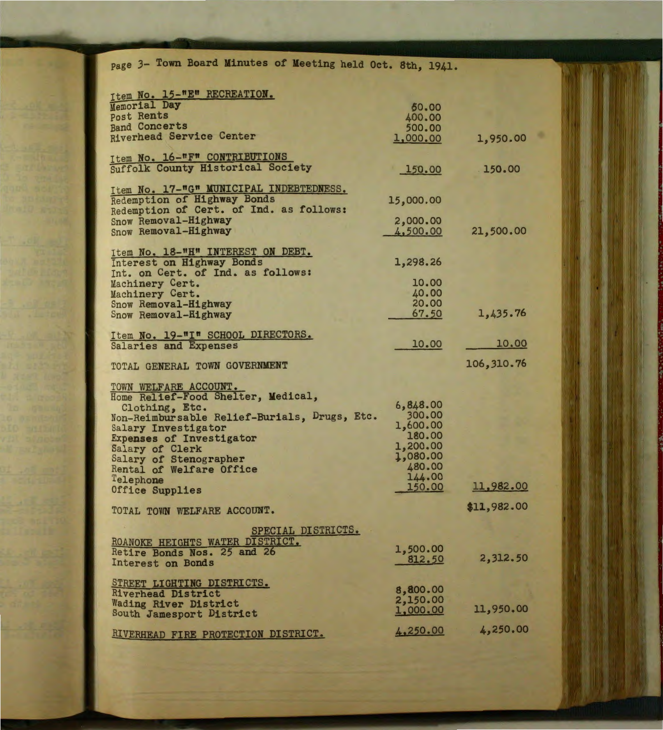| page 3- Town Board Minutes of Meeting held Oct. 8th, 1941. |                    |             |
|------------------------------------------------------------|--------------------|-------------|
| Item No. 15-"E" RECREATION.                                |                    |             |
| Memorial Day                                               | 50.00              |             |
| Post Rents                                                 | 400.00             |             |
| <b>Band Concerts</b>                                       | 500.00             |             |
| Riverhead Service Center                                   | 1,000.00           | 1,950.00    |
|                                                            |                    |             |
| Item No. 16-"F" CONTRIBUTIONS                              |                    |             |
| Suffolk County Historical Society                          | 150.00             | 150.00      |
|                                                            |                    |             |
| Item No. 17-"G" MUNICIPAL INDEBTEDNESS.                    |                    |             |
| <b>Redemption of Highway Bonds</b>                         | 15,000.00          |             |
| Redemption of Cert. of Ind. as follows:                    |                    |             |
| Snow Removal-Highway                                       | 2,000.00           |             |
| Snow Removal-Highway                                       | 4,500.00           | 21,500.00   |
|                                                            |                    |             |
| Item No. 18-"H" INTEREST ON DEBT.                          |                    |             |
| Interest on Highway Bonds                                  | 1,298.26           |             |
| Int. on Cert. of Ind. as follows:                          | 10.00              |             |
| Machinery Cert.                                            |                    |             |
| Machinery Cert.                                            | 40.00<br>20.00     |             |
| Snow Removal-Highway                                       | 67.50              | 1,435.76    |
| Snow Removal-Highway                                       |                    |             |
| Item No. 19-"I" SCHOOL DIRECTORS.                          |                    |             |
| Salaries and Expenses                                      | 10.00              | 10.00       |
|                                                            |                    |             |
| TOTAL GENERAL TOWN GOVERNMENT                              |                    | 106,310.76  |
|                                                            |                    |             |
| TOWN WELFARE ACCOUNT.                                      |                    |             |
| Home Relief-Food Shelter, Medical,                         |                    |             |
| Clothing, Etc.                                             | 6,848.00           |             |
| Non-Reimbursable Relief-Burials, Drugs, Etc.               | 300.00             |             |
| Salary Investigator                                        | 1,600.00           |             |
| Expenses of Investigator                                   | 180.00             |             |
| Salary of Clerk                                            | 1,200.00           |             |
| Salary of Stenographer                                     | 1,080.00<br>480.00 |             |
| Rental of Welfare Office                                   | 144.00             |             |
| Telephone                                                  | 150.00             | 11,982.00   |
| Office Supplies                                            |                    |             |
|                                                            |                    | \$11,982.00 |
| TOTAL TOWN WELFARE ACCOUNT.                                |                    |             |
| SPECIAL DISTRICTS.                                         |                    |             |
| ROANOKE HEIGHTS WATER DISTRICT.                            |                    |             |
| Retire Bonds Nos. 25 and 26                                | 1,500.00           |             |
| Interest on Bonds                                          | 812.50             | 2,312.50    |
|                                                            |                    |             |
| STREET LIGHTING DISTRICTS.                                 |                    |             |
| Riverhead District                                         | 8,800.00           |             |
| <b>Wading River District</b>                               | 2,150.00           |             |
| South Jamesport District                                   | 1,000.00           | 11,950.00   |
|                                                            |                    | 4,250.00    |
| RIVERHEAD FIRE PROTECTION DISTRICT.                        | 4,250.00           |             |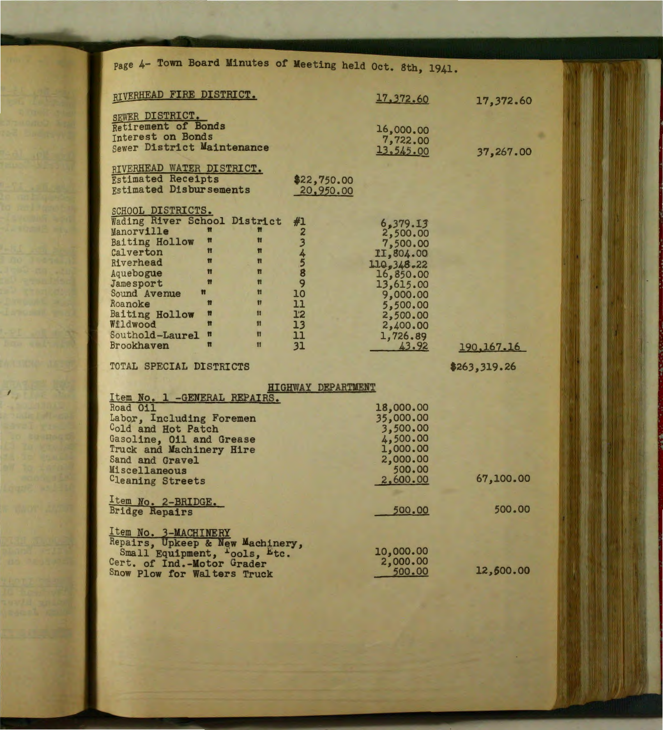| page 4- Town Board Minutes of Meeting held Oct. 8th, 1941.       |                           |                        |              |
|------------------------------------------------------------------|---------------------------|------------------------|--------------|
|                                                                  |                           |                        |              |
| RIVERHEAD FIRE DISTRICT.                                         |                           | 17,372.60              | 17,372.60    |
| SEWER DISTRICT.                                                  |                           |                        |              |
| Retirement of Bonds                                              |                           | 16,000.00              |              |
| Interest on Bonds<br>Sewer District Maintenance                  |                           | 7,722.00               |              |
|                                                                  |                           | 13,545.00              | 37,267.00    |
| RIVERHEAD WATER DISTRICT.                                        |                           |                        |              |
| <b>Estimated Receipts</b><br><b>Estimated Disbursements</b>      | \$22,750.00               |                        |              |
|                                                                  | 20,950.00                 |                        |              |
| SCHOOL DISTRICTS.                                                |                           |                        |              |
| Wading River School District<br>M<br>Manorville<br>π             | #1                        | 6,379.13               |              |
| Ħ<br>$\mathbf{u}$<br><b>Baiting Hollow</b>                       | 2                         | 2,500.00<br>7,500.00   |              |
| Ħ<br>$\blacksquare$<br>Calverton                                 |                           | II,804.00              |              |
| Ħ<br>$\mathbf{u}$<br>Riverhead<br>Ħ<br>π                         |                           | 110, 348.22            |              |
| Aquebogue<br>M<br>$\mathbf{u}$<br><b>Jamesport</b>               | 34589                     | 16,850.00<br>13,615.00 |              |
| $\mathbf{H}$<br>Sound Avenue<br>Ħ                                | 10                        | 9,000.00               |              |
| $\mathbf{H}$<br>n<br>Roanoke<br>$\mathbf{u}$                     | 11                        | 5,500.00               |              |
| Ħ<br>Baiting Hollow<br>Ħ<br>$\mathbf{H}$<br>Wildwood             | 12<br>13                  | 2,500.00<br>2,400.00   |              |
| $\mathbf{r}$<br>$\mathbf{H}$<br>Southold-Laurel                  | 11                        | 1,726.89               |              |
| n<br>$\mathbf{H}$<br>Brookhaven                                  | 31                        | 43.92                  | 190, 167. 16 |
| TOTAL SPECIAL DISTRICTS                                          |                           |                        | \$263,319.26 |
|                                                                  | <b>HIGHWAY DEPARTMENT</b> |                        |              |
| Item No. 1 -GENERAL REPAIRS.                                     |                           |                        |              |
| Road 011                                                         |                           | 18,000.00              |              |
| Labor, Including Foremen                                         |                           | 35,000.00<br>3,500.00  |              |
| Cold and Hot Patch<br>Gasoline, Oil and Grease                   |                           | 4,500.00               |              |
| Truck and Machinery Hire                                         |                           | 1,000.00               |              |
| Sand and Gravel                                                  |                           | 2,000.00<br>500.00     |              |
| Miscellaneous<br>Cleaning Streets                                |                           | 2,600.00               | 67,100.00    |
|                                                                  |                           |                        |              |
| Item No. 2-BRIDGE.<br><b>Bridge Repairs</b>                      |                           | 500.00                 | 500.00       |
|                                                                  |                           |                        |              |
| <u>Item No. 3-MACHINERY</u>                                      |                           |                        |              |
| Repairs, Upkeep & New Machinery,<br>Small Equipment, Tools, Etc. |                           | 10,000.00              |              |
| Cert. of Ind.-Motor Grader                                       |                           | 2,000.00               |              |
| Show Plow for Walters Truck                                      |                           | 500.00                 | 12,500.00    |
|                                                                  |                           |                        |              |

I

第一